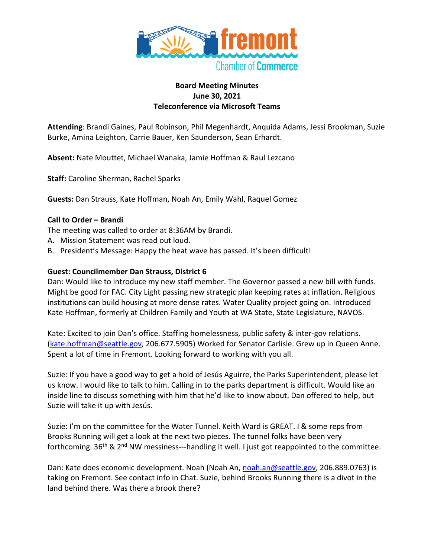

## **Board Meeting Minutes June 30, 2021 Teleconference via Microsoft Teams**

**Attending**: Brandi Gaines, Paul Robinson, Phil Megenhardt, Anquida Adams, Jessi Brookman, Suzie Burke, Amina Leighton, Carrie Bauer, Ken Saunderson, Sean Erhardt.

**Absent:** Nate Mouttet, Michael Wanaka, Jamie Hoffman & Raul Lezcano

**Staff:** Caroline Sherman, Rachel Sparks

**Guests:** Dan Strauss, Kate Hoffman, Noah An, Emily Wahl, Raquel Gomez

## **Call to Order – Brandi**

The meeting was called to order at 8:36AM by Brandi.

- A. Mission Statement was read out loud.
- B. President's Message: Happy the heat wave has passed. It's been difficult!

## **Guest: Councilmember Dan Strauss, District 6**

Dan: Would like to introduce my new staff member. The Governor passed a new bill with funds. Might be good for FAC. City Light passing new strategic plan keeping rates at inflation. Religious institutions can build housing at more dense rates. Water Quality project going on. Introduced Kate Hoffman, formerly at Children Family and Youth at WA State, State Legislature, NAVOS.

Kate: Excited to join Dan's office. Staffing homelessness, public safety & inter-gov relations. (kate.hoffman@seattle.gov, 206.677.5905) Worked for Senator Carlisle. Grew up in Queen Anne. Spent a lot of time in Fremont. Looking forward to working with you all.

Suzie: If you have a good way to get a hold of Jesús Aguirre, the Parks Superintendent, please let us know. I would like to talk to him. Calling in to the parks department is difficult. Would like an inside line to discuss something with him that he'd like to know about. Dan offered to help, but Suzie will take it up with Jesús.

Suzie: I'm on the committee for the Water Tunnel. Keith Ward is GREAT. I & some reps from Brooks Running will get a look at the next two pieces. The tunnel folks have been very forthcoming.  $36<sup>th</sup>$  & 2<sup>nd</sup> NW messiness---handling it well. I just got reappointed to the committee.

Dan: Kate does economic development. Noah (Noah An, noah.an@seattle.gov, 206.889.0763) is taking on Fremont. See contact info in Chat. Suzie, behind Brooks Running there is a divot in the land behind there. Was there a brook there?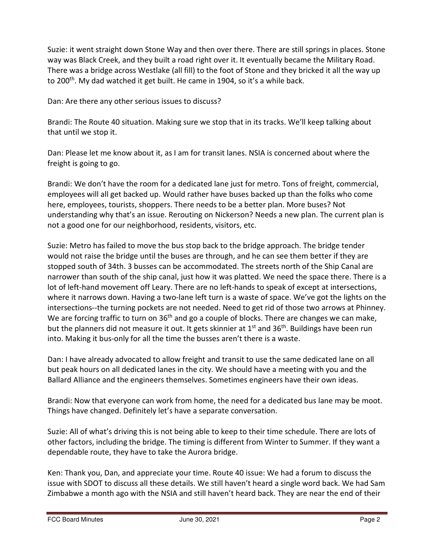Suzie: it went straight down Stone Way and then over there. There are still springs in places. Stone way was Black Creek, and they built a road right over it. It eventually became the Military Road. There was a bridge across Westlake (all fill) to the foot of Stone and they bricked it all the way up to 200<sup>th</sup>. My dad watched it get built. He came in 1904, so it's a while back.

Dan: Are there any other serious issues to discuss?

Brandi: The Route 40 situation. Making sure we stop that in its tracks. We'll keep talking about that until we stop it.

Dan: Please let me know about it, as I am for transit lanes. NSIA is concerned about where the freight is going to go.

Brandi: We don't have the room for a dedicated lane just for metro. Tons of freight, commercial, employees will all get backed up. Would rather have buses backed up than the folks who come here, employees, tourists, shoppers. There needs to be a better plan. More buses? Not understanding why that's an issue. Rerouting on Nickerson? Needs a new plan. The current plan is not a good one for our neighborhood, residents, visitors, etc.

Suzie: Metro has failed to move the bus stop back to the bridge approach. The bridge tender would not raise the bridge until the buses are through, and he can see them better if they are stopped south of 34th. 3 busses can be accommodated. The streets north of the Ship Canal are narrower than south of the ship canal, just how it was platted. We need the space there. There is a lot of left-hand movement off Leary. There are no left-hands to speak of except at intersections, where it narrows down. Having a two-lane left turn is a waste of space. We've got the lights on the intersections--the turning pockets are not needed. Need to get rid of those two arrows at Phinney. We are forcing traffic to turn on  $36<sup>th</sup>$  and go a couple of blocks. There are changes we can make, but the planners did not measure it out. It gets skinnier at 1<sup>st</sup> and 36<sup>th</sup>. Buildings have been run into. Making it bus-only for all the time the busses aren't there is a waste.

Dan: I have already advocated to allow freight and transit to use the same dedicated lane on all but peak hours on all dedicated lanes in the city. We should have a meeting with you and the Ballard Alliance and the engineers themselves. Sometimes engineers have their own ideas.

Brandi: Now that everyone can work from home, the need for a dedicated bus lane may be moot. Things have changed. Definitely let's have a separate conversation.

Suzie: All of what's driving this is not being able to keep to their time schedule. There are lots of other factors, including the bridge. The timing is different from Winter to Summer. If they want a dependable route, they have to take the Aurora bridge.

Ken: Thank you, Dan, and appreciate your time. Route 40 issue: We had a forum to discuss the issue with SDOT to discuss all these details. We still haven't heard a single word back. We had Sam Zimbabwe a month ago with the NSIA and still haven't heard back. They are near the end of their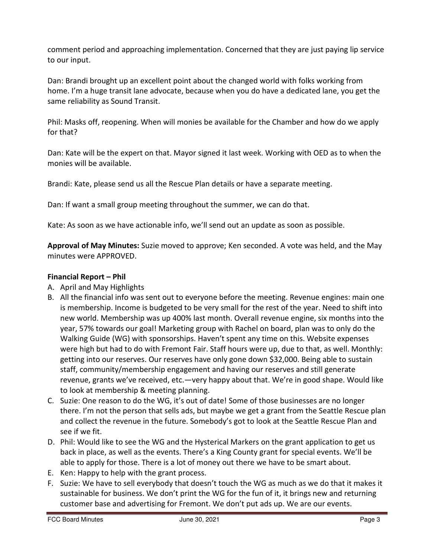comment period and approaching implementation. Concerned that they are just paying lip service to our input.

Dan: Brandi brought up an excellent point about the changed world with folks working from home. I'm a huge transit lane advocate, because when you do have a dedicated lane, you get the same reliability as Sound Transit.

Phil: Masks off, reopening. When will monies be available for the Chamber and how do we apply for that?

Dan: Kate will be the expert on that. Mayor signed it last week. Working with OED as to when the monies will be available.

Brandi: Kate, please send us all the Rescue Plan details or have a separate meeting.

Dan: If want a small group meeting throughout the summer, we can do that.

Kate: As soon as we have actionable info, we'll send out an update as soon as possible.

**Approval of May Minutes:** Suzie moved to approve; Ken seconded. A vote was held, and the May minutes were APPROVED.

## **Financial Report – Phil**

- A. April and May Highlights
- B. All the financial info was sent out to everyone before the meeting. Revenue engines: main one is membership. Income is budgeted to be very small for the rest of the year. Need to shift into new world. Membership was up 400% last month. Overall revenue engine, six months into the year, 57% towards our goal! Marketing group with Rachel on board, plan was to only do the Walking Guide (WG) with sponsorships. Haven't spent any time on this. Website expenses were high but had to do with Fremont Fair. Staff hours were up, due to that, as well. Monthly: getting into our reserves. Our reserves have only gone down \$32,000. Being able to sustain staff, community/membership engagement and having our reserves and still generate revenue, grants we've received, etc.—very happy about that. We're in good shape. Would like to look at membership & meeting planning.
- C. Suzie: One reason to do the WG, it's out of date! Some of those businesses are no longer there. I'm not the person that sells ads, but maybe we get a grant from the Seattle Rescue plan and collect the revenue in the future. Somebody's got to look at the Seattle Rescue Plan and see if we fit.
- D. Phil: Would like to see the WG and the Hysterical Markers on the grant application to get us back in place, as well as the events. There's a King County grant for special events. We'll be able to apply for those. There is a lot of money out there we have to be smart about.
- E. Ken: Happy to help with the grant process.
- F. Suzie: We have to sell everybody that doesn't touch the WG as much as we do that it makes it sustainable for business. We don't print the WG for the fun of it, it brings new and returning customer base and advertising for Fremont. We don't put ads up. We are our events.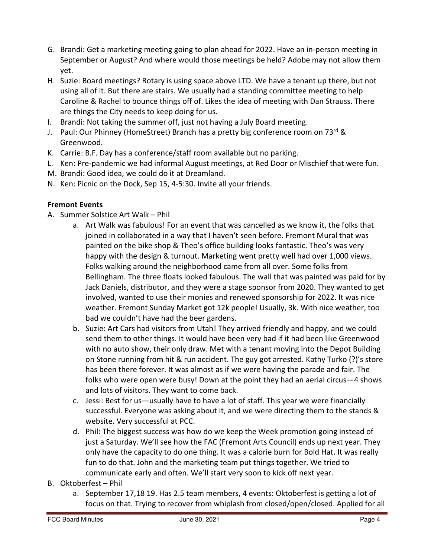- G. Brandi: Get a marketing meeting going to plan ahead for 2022. Have an in-person meeting in September or August? And where would those meetings be held? Adobe may not allow them yet.
- H. Suzie: Board meetings? Rotary is using space above LTD. We have a tenant up there, but not using all of it. But there are stairs. We usually had a standing committee meeting to help Caroline & Rachel to bounce things off of. Likes the idea of meeting with Dan Strauss. There are things the City needs to keep doing for us.
- I. Brandi: Not taking the summer off, just not having a July Board meeting.
- J. Paul: Our Phinney (HomeStreet) Branch has a pretty big conference room on 73rd & Greenwood.
- K. Carrie: B.F. Day has a conference/staff room available but no parking.
- L. Ken: Pre-pandemic we had informal August meetings, at Red Door or Mischief that were fun.
- M. Brandi: Good idea, we could do it at Dreamland.
- N. Ken: Picnic on the Dock, Sep 15, 4-5:30. Invite all your friends.

# **Fremont Events**

- A. Summer Solstice Art Walk Phil
	- a. Art Walk was fabulous! For an event that was cancelled as we know it, the folks that joined in collaborated in a way that I haven't seen before. Fremont Mural that was painted on the bike shop & Theo's office building looks fantastic. Theo's was very happy with the design & turnout. Marketing went pretty well had over 1,000 views. Folks walking around the neighborhood came from all over. Some folks from Bellingham. The three floats looked fabulous. The wall that was painted was paid for by Jack Daniels, distributor, and they were a stage sponsor from 2020. They wanted to get involved, wanted to use their monies and renewed sponsorship for 2022. It was nice weather. Fremont Sunday Market got 12k people! Usually, 3k. With nice weather, too bad we couldn't have had the beer gardens.
	- b. Suzie: Art Cars had visitors from Utah! They arrived friendly and happy, and we could send them to other things. It would have been very bad if it had been like Greenwood with no auto show, their only draw. Met with a tenant moving into the Depot Building on Stone running from hit & run accident. The guy got arrested. Kathy Turko (?)'s store has been there forever. It was almost as if we were having the parade and fair. The folks who were open were busy! Down at the point they had an aerial circus—4 shows and lots of visitors. They want to come back.
	- c. Jessi: Best for us—usually have to have a lot of staff. This year we were financially successful. Everyone was asking about it, and we were directing them to the stands & website. Very successful at PCC.
	- d. Phil: The biggest success was how do we keep the Week promotion going instead of just a Saturday. We'll see how the FAC (Fremont Arts Council) ends up next year. They only have the capacity to do one thing. It was a calorie burn for Bold Hat. It was really fun to do that. John and the marketing team put things together. We tried to communicate early and often. We'll start very soon to kick off next year.
- B. Oktoberfest Phil
	- a. September 17,18 19. Has 2.5 team members, 4 events: Oktoberfest is getting a lot of focus on that. Trying to recover from whiplash from closed/open/closed. Applied for all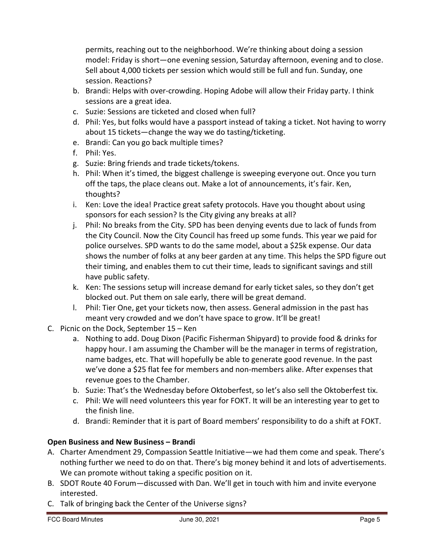permits, reaching out to the neighborhood. We're thinking about doing a session model: Friday is short—one evening session, Saturday afternoon, evening and to close. Sell about 4,000 tickets per session which would still be full and fun. Sunday, one session. Reactions?

- b. Brandi: Helps with over-crowding. Hoping Adobe will allow their Friday party. I think sessions are a great idea.
- c. Suzie: Sessions are ticketed and closed when full?
- d. Phil: Yes, but folks would have a passport instead of taking a ticket. Not having to worry about 15 tickets—change the way we do tasting/ticketing.
- e. Brandi: Can you go back multiple times?
- f. Phil: Yes.
- g. Suzie: Bring friends and trade tickets/tokens.
- h. Phil: When it's timed, the biggest challenge is sweeping everyone out. Once you turn off the taps, the place cleans out. Make a lot of announcements, it's fair. Ken, thoughts?
- i. Ken: Love the idea! Practice great safety protocols. Have you thought about using sponsors for each session? Is the City giving any breaks at all?
- j. Phil: No breaks from the City. SPD has been denying events due to lack of funds from the City Council. Now the City Council has freed up some funds. This year we paid for police ourselves. SPD wants to do the same model, about a \$25k expense. Our data shows the number of folks at any beer garden at any time. This helps the SPD figure out their timing, and enables them to cut their time, leads to significant savings and still have public safety.
- k. Ken: The sessions setup will increase demand for early ticket sales, so they don't get blocked out. Put them on sale early, there will be great demand.
- l. Phil: Tier One, get your tickets now, then assess. General admission in the past has meant very crowded and we don't have space to grow. It'll be great!
- C. Picnic on the Dock, September 15 Ken
	- a. Nothing to add. Doug Dixon (Pacific Fisherman Shipyard) to provide food & drinks for happy hour. I am assuming the Chamber will be the manager in terms of registration, name badges, etc. That will hopefully be able to generate good revenue. In the past we've done a \$25 flat fee for members and non-members alike. After expenses that revenue goes to the Chamber.
	- b. Suzie: That's the Wednesday before Oktoberfest, so let's also sell the Oktoberfest tix.
	- c. Phil: We will need volunteers this year for FOKT. It will be an interesting year to get to the finish line.
	- d. Brandi: Reminder that it is part of Board members' responsibility to do a shift at FOKT.

# **Open Business and New Business – Brandi**

- A. Charter Amendment 29, Compassion Seattle Initiative—we had them come and speak. There's nothing further we need to do on that. There's big money behind it and lots of advertisements. We can promote without taking a specific position on it.
- B. SDOT Route 40 Forum—discussed with Dan. We'll get in touch with him and invite everyone interested.
- C. Talk of bringing back the Center of the Universe signs?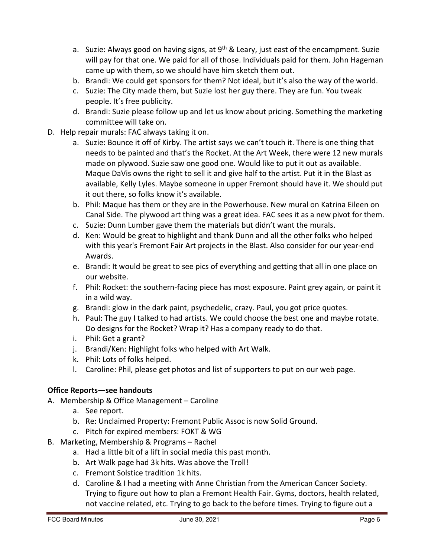- a. Suzie: Always good on having signs, at  $9<sup>th</sup>$  & Leary, just east of the encampment. Suzie will pay for that one. We paid for all of those. Individuals paid for them. John Hageman came up with them, so we should have him sketch them out.
- b. Brandi: We could get sponsors for them? Not ideal, but it's also the way of the world.
- c. Suzie: The City made them, but Suzie lost her guy there. They are fun. You tweak people. It's free publicity.
- d. Brandi: Suzie please follow up and let us know about pricing. Something the marketing committee will take on.
- D. Help repair murals: FAC always taking it on.
	- a. Suzie: Bounce it off of Kirby. The artist says we can't touch it. There is one thing that needs to be painted and that's the Rocket. At the Art Week, there were 12 new murals made on plywood. Suzie saw one good one. Would like to put it out as available. Maque DaVis owns the right to sell it and give half to the artist. Put it in the Blast as available, Kelly Lyles. Maybe someone in upper Fremont should have it. We should put it out there, so folks know it's available.
	- b. Phil: Maque has them or they are in the Powerhouse. New mural on Katrina Eileen on Canal Side. The plywood art thing was a great idea. FAC sees it as a new pivot for them.
	- c. Suzie: Dunn Lumber gave them the materials but didn't want the murals.
	- d. Ken: Would be great to highlight and thank Dunn and all the other folks who helped with this year's Fremont Fair Art projects in the Blast. Also consider for our year-end Awards.
	- e. Brandi: It would be great to see pics of everything and getting that all in one place on our website.
	- f. Phil: Rocket: the southern-facing piece has most exposure. Paint grey again, or paint it in a wild way.
	- g. Brandi: glow in the dark paint, psychedelic, crazy. Paul, you got price quotes.
	- h. Paul: The guy I talked to had artists. We could choose the best one and maybe rotate. Do designs for the Rocket? Wrap it? Has a company ready to do that.
	- i. Phil: Get a grant?
	- j. Brandi/Ken: Highlight folks who helped with Art Walk.
	- k. Phil: Lots of folks helped.
	- l. Caroline: Phil, please get photos and list of supporters to put on our web page.

## **Office Reports—see handouts**

- A. Membership & Office Management Caroline
	- a. See report.
	- b. Re: Unclaimed Property: Fremont Public Assoc is now Solid Ground.
	- c. Pitch for expired members: FOKT & WG
- B. Marketing, Membership & Programs Rachel
	- a. Had a little bit of a lift in social media this past month.
	- b. Art Walk page had 3k hits. Was above the Troll!
	- c. Fremont Solstice tradition 1k hits.
	- d. Caroline & I had a meeting with Anne Christian from the American Cancer Society. Trying to figure out how to plan a Fremont Health Fair. Gyms, doctors, health related, not vaccine related, etc. Trying to go back to the before times. Trying to figure out a